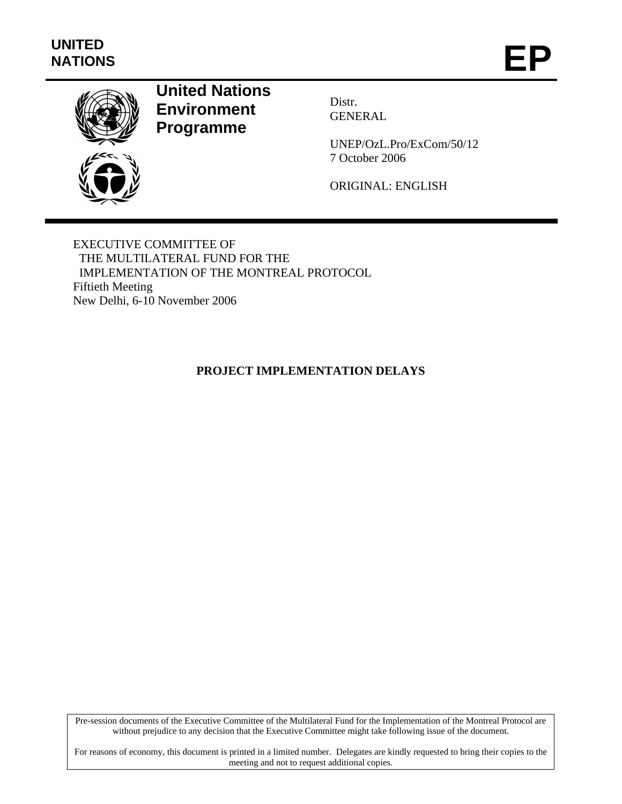

# **United Nations Environment Programme**

Distr. GENERAL

UNEP/OzL.Pro/ExCom/50/12 7 October 2006

ORIGINAL: ENGLISH

EXECUTIVE COMMITTEE OF THE MULTILATERAL FUND FOR THE IMPLEMENTATION OF THE MONTREAL PROTOCOL Fiftieth Meeting New Delhi, 6-10 November 2006

# **PROJECT IMPLEMENTATION DELAYS**

Pre-session documents of the Executive Committee of the Multilateral Fund for the Implementation of the Montreal Protocol are without prejudice to any decision that the Executive Committee might take following issue of the document.

For reasons of economy, this document is printed in a limited number. Delegates are kindly requested to bring their copies to the meeting and not to request additional copies.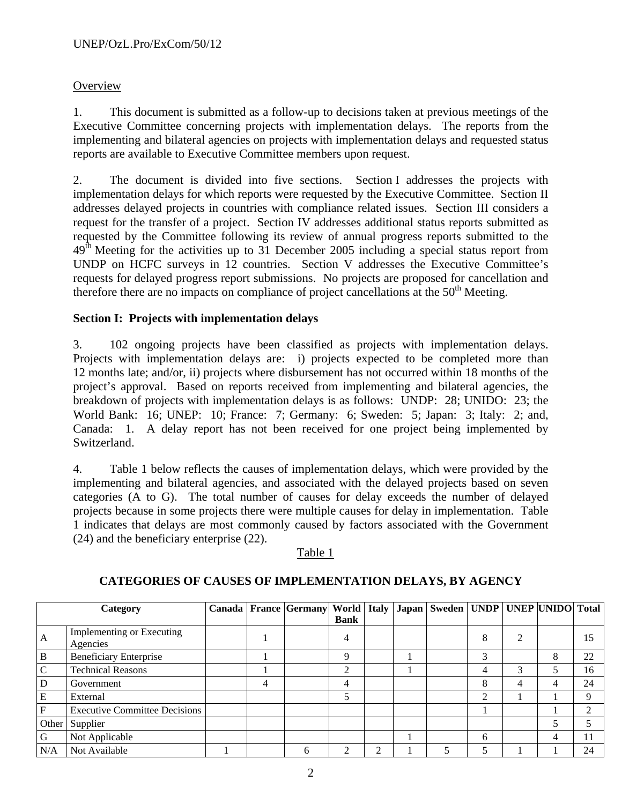# **Overview**

1. This document is submitted as a follow-up to decisions taken at previous meetings of the Executive Committee concerning projects with implementation delays. The reports from the implementing and bilateral agencies on projects with implementation delays and requested status reports are available to Executive Committee members upon request.

2. The document is divided into five sections. Section I addresses the projects with implementation delays for which reports were requested by the Executive Committee. Section II addresses delayed projects in countries with compliance related issues. Section III considers a request for the transfer of a project. Section IV addresses additional status reports submitted as requested by the Committee following its review of annual progress reports submitted to the 49<sup>th</sup> Meeting for the activities up to 31 December 2005 including a special status report from UNDP on HCFC surveys in 12 countries. Section V addresses the Executive Committee's requests for delayed progress report submissions. No projects are proposed for cancellation and therefore there are no impacts on compliance of project cancellations at the  $50<sup>th</sup>$  Meeting.

# **Section I: Projects with implementation delays**

3. 102 ongoing projects have been classified as projects with implementation delays. Projects with implementation delays are: i) projects expected to be completed more than 12 months late; and/or, ii) projects where disbursement has not occurred within 18 months of the project's approval. Based on reports received from implementing and bilateral agencies, the breakdown of projects with implementation delays is as follows: UNDP: 28; UNIDO: 23; the World Bank: 16; UNEP: 10; France: 7; Germany: 6; Sweden: 5; Japan: 3; Italy: 2; and, Canada: 1. A delay report has not been received for one project being implemented by Switzerland.

4. Table 1 below reflects the causes of implementation delays, which were provided by the implementing and bilateral agencies, and associated with the delayed projects based on seven categories (A to G). The total number of causes for delay exceeds the number of delayed projects because in some projects there were multiple causes for delay in implementation. Table 1 indicates that delays are most commonly caused by factors associated with the Government (24) and the beneficiary enterprise (22).

# Table 1

|               | Category                             |   | Canada   France   Germany   World   Italy   Japan   Sweden   UNDP   UNEP  UNIDO   Total |             |   |  |   |   |   |    |
|---------------|--------------------------------------|---|-----------------------------------------------------------------------------------------|-------------|---|--|---|---|---|----|
|               |                                      |   |                                                                                         | <b>Bank</b> |   |  |   |   |   |    |
|               | Implementing or Executing            |   |                                                                                         |             |   |  | 8 |   |   | 15 |
| A             | Agencies                             |   |                                                                                         |             |   |  |   |   |   |    |
| $\, {\bf B}$  | <b>Beneficiary Enterprise</b>        |   |                                                                                         |             |   |  | 3 |   | 8 | 22 |
| $\mathcal{C}$ | <b>Technical Reasons</b>             |   |                                                                                         | ◠           |   |  |   | 3 | 5 | 16 |
| D             | Government                           | 4 |                                                                                         | 4           |   |  | 8 | 4 | 4 | 24 |
| E             | External                             |   |                                                                                         |             |   |  | ◠ |   |   | Q  |
| F             | <b>Executive Committee Decisions</b> |   |                                                                                         |             |   |  |   |   |   |    |
|               | Other Supplier                       |   |                                                                                         |             |   |  |   |   | 5 |    |
| G             | Not Applicable                       |   |                                                                                         |             |   |  | 6 |   | 4 |    |
| N/A           | Not Available                        |   | 6                                                                                       |             | ◠ |  |   |   |   | 24 |

# **CATEGORIES OF CAUSES OF IMPLEMENTATION DELAYS, BY AGENCY**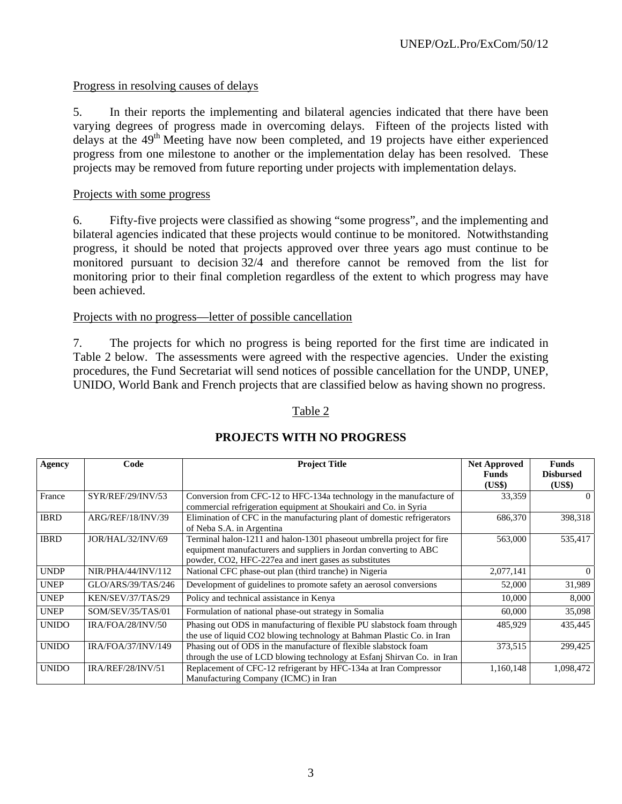# Progress in resolving causes of delays

5. In their reports the implementing and bilateral agencies indicated that there have been varying degrees of progress made in overcoming delays. Fifteen of the projects listed with delays at the  $49<sup>th</sup>$  Meeting have now been completed, and 19 projects have either experienced progress from one milestone to another or the implementation delay has been resolved. These projects may be removed from future reporting under projects with implementation delays.

#### Projects with some progress

6. Fifty-five projects were classified as showing "some progress", and the implementing and bilateral agencies indicated that these projects would continue to be monitored. Notwithstanding progress, it should be noted that projects approved over three years ago must continue to be monitored pursuant to decision 32/4 and therefore cannot be removed from the list for monitoring prior to their final completion regardless of the extent to which progress may have been achieved.

#### Projects with no progress—letter of possible cancellation

7. The projects for which no progress is being reported for the first time are indicated in Table 2 below. The assessments were agreed with the respective agencies. Under the existing procedures, the Fund Secretariat will send notices of possible cancellation for the UNDP, UNEP, UNIDO, World Bank and French projects that are classified below as having shown no progress.

#### Table 2

| Agency       | Code                     | <b>Project Title</b>                                                                                                                                                                                | <b>Net Approved</b><br><b>Funds</b><br>(US\$) | <b>Funds</b><br><b>Disbursed</b><br>(US\$) |
|--------------|--------------------------|-----------------------------------------------------------------------------------------------------------------------------------------------------------------------------------------------------|-----------------------------------------------|--------------------------------------------|
| France       | SYR/REF/29/INV/53        | Conversion from CFC-12 to HFC-134a technology in the manufacture of<br>commercial refrigeration equipment at Shoukairi and Co. in Syria                                                             | 33,359                                        | $\Omega$                                   |
| <b>IBRD</b>  | ARG/REF/18/INV/39        | Elimination of CFC in the manufacturing plant of domestic refrigerators<br>of Neba S.A. in Argentina                                                                                                | 686,370                                       | 398,318                                    |
| <b>IBRD</b>  | JOR/HAL/32/INV/69        | Terminal halon-1211 and halon-1301 phaseout umbrella project for fire<br>equipment manufacturers and suppliers in Jordan converting to ABC<br>powder, CO2, HFC-227ea and inert gases as substitutes | 563,000                                       | 535,417                                    |
| <b>UNDP</b>  | NIR/PHA/44/INV/112       | National CFC phase-out plan (third tranche) in Nigeria                                                                                                                                              | 2,077,141                                     | $\Omega$                                   |
| <b>UNEP</b>  | GLO/ARS/39/TAS/246       | Development of guidelines to promote safety an aerosol conversions                                                                                                                                  | 52,000                                        | 31,989                                     |
| <b>UNEP</b>  | KEN/SEV/37/TAS/29        | Policy and technical assistance in Kenya                                                                                                                                                            | 10,000                                        | 8,000                                      |
| <b>UNEP</b>  | SOM/SEV/35/TAS/01        | Formulation of national phase-out strategy in Somalia                                                                                                                                               | 60,000                                        | 35,098                                     |
| <b>UNIDO</b> | IRA/FOA/28/INV/50        | Phasing out ODS in manufacturing of flexible PU slabstock foam through<br>the use of liquid CO2 blowing technology at Bahman Plastic Co. in Iran                                                    | 485,929                                       | 435,445                                    |
| <b>UNIDO</b> | IRA/FOA/37/INV/149       | Phasing out of ODS in the manufacture of flexible slabstock foam<br>through the use of LCD blowing technology at Esfanj Shirvan Co. in Iran                                                         | 373,515                                       | 299,425                                    |
| <b>UNIDO</b> | <b>IRA/REF/28/INV/51</b> | Replacement of CFC-12 refrigerant by HFC-134a at Iran Compressor<br>Manufacturing Company (ICMC) in Iran                                                                                            | 1,160,148                                     | 1,098,472                                  |

# **PROJECTS WITH NO PROGRESS**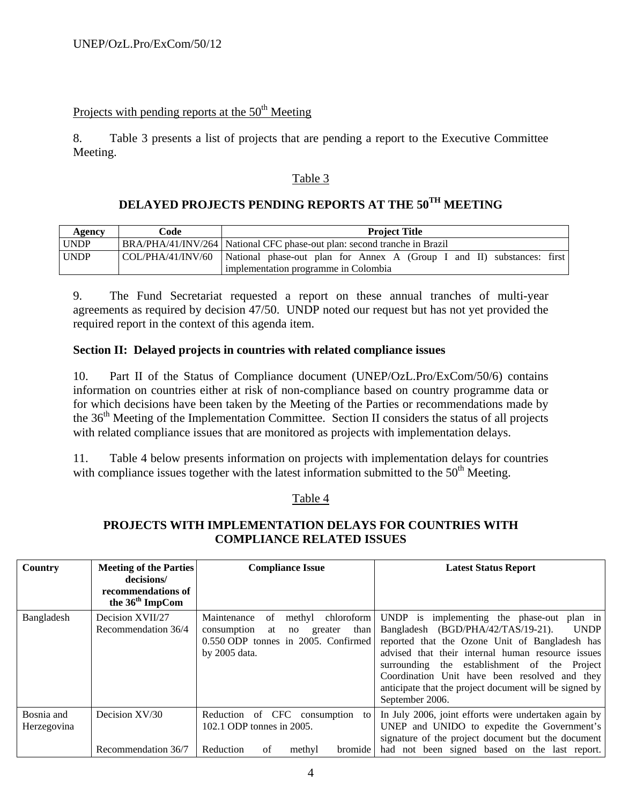# Projects with pending reports at the  $50<sup>th</sup>$  Meeting

8. Table 3 presents a list of projects that are pending a report to the Executive Committee Meeting.

### Table 3

# **DELAYED PROJECTS PENDING REPORTS AT THE 50TH MEETING**

| Agency      | Code              | <b>Project Title</b>                                                       |  |  |  |
|-------------|-------------------|----------------------------------------------------------------------------|--|--|--|
| <b>UNDP</b> |                   | BRA/PHA/41/INV/264   National CFC phase-out plan: second tranche in Brazil |  |  |  |
| <b>UNDP</b> | COL/PHA/41/INV/60 | National phase-out plan for Annex A (Group I and II) substances: first     |  |  |  |
|             |                   | implementation programme in Colombia                                       |  |  |  |

9. The Fund Secretariat requested a report on these annual tranches of multi-year agreements as required by decision 47/50. UNDP noted our request but has not yet provided the required report in the context of this agenda item.

### **Section II: Delayed projects in countries with related compliance issues**

10. Part II of the Status of Compliance document (UNEP/OzL.Pro/ExCom/50/6) contains information on countries either at risk of non-compliance based on country programme data or for which decisions have been taken by the Meeting of the Parties or recommendations made by the 36<sup>th</sup> Meeting of the Implementation Committee. Section II considers the status of all projects with related compliance issues that are monitored as projects with implementation delays.

11. Table 4 below presents information on projects with implementation delays for countries with compliance issues together with the latest information submitted to the  $50<sup>th</sup>$  Meeting.

#### Table 4

### **PROJECTS WITH IMPLEMENTATION DELAYS FOR COUNTRIES WITH COMPLIANCE RELATED ISSUES**

| Country                   | <b>Meeting of the Parties</b><br>decisions/<br>recommendations of<br>the 36 <sup>th</sup> ImpCom | <b>Compliance Issue</b>                                                                                                                           | <b>Latest Status Report</b>                                                                                                                                                                                                                                                                                                                                                          |
|---------------------------|--------------------------------------------------------------------------------------------------|---------------------------------------------------------------------------------------------------------------------------------------------------|--------------------------------------------------------------------------------------------------------------------------------------------------------------------------------------------------------------------------------------------------------------------------------------------------------------------------------------------------------------------------------------|
| Bangladesh                | Decision XVII/27<br>Recommendation 36/4                                                          | Maintenance<br>chloroform<br>methyl<br>of<br>than<br>consumption<br>greater<br>no<br>at<br>0.550 ODP tonnes in 2005. Confirmed<br>by $2005$ data. | UNDP is implementing the phase-out plan in<br>Bangladesh (BGD/PHA/42/TAS/19-21).<br><b>UNDP</b><br>reported that the Ozone Unit of Bangladesh has<br>advised that their internal human resource issues<br>surrounding the establishment of the Project<br>Coordination Unit have been resolved and they<br>anticipate that the project document will be signed by<br>September 2006. |
| Bosnia and<br>Herzegovina | Decision XV/30<br>Recommendation 36/7                                                            | Reduction of CFC consumption<br>to<br>102.1 ODP tonnes in 2005.<br>Reduction<br>of<br>bromide<br>methyl                                           | In July 2006, joint efforts were undertaken again by<br>UNEP and UNIDO to expedite the Government's<br>signature of the project document but the document<br>had not been signed based on the last report.                                                                                                                                                                           |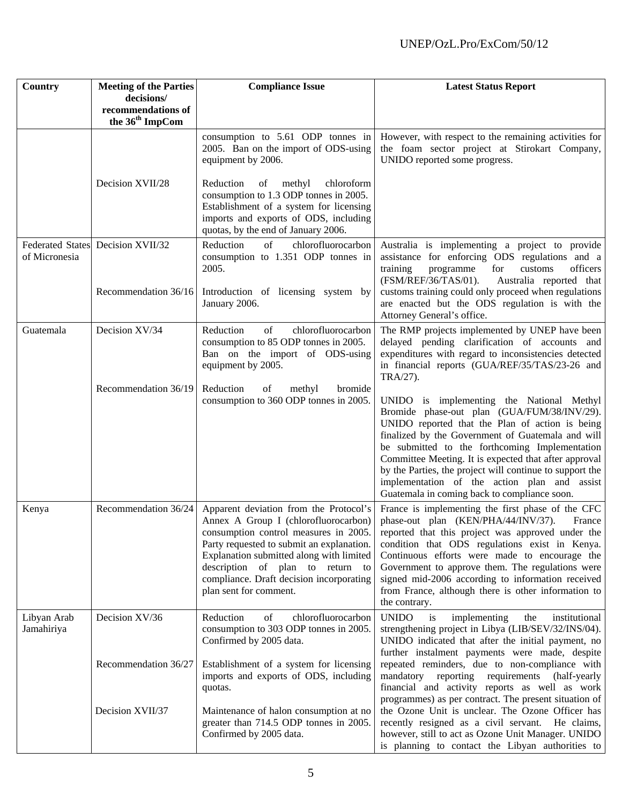| Country                   | <b>Meeting of the Parties</b><br>decisions/       | <b>Compliance Issue</b>                                                                                                                                                                                                                                                                                                    | <b>Latest Status Report</b>                                                                                                                                                                                                                                                                                                                                                                                                                                             |
|---------------------------|---------------------------------------------------|----------------------------------------------------------------------------------------------------------------------------------------------------------------------------------------------------------------------------------------------------------------------------------------------------------------------------|-------------------------------------------------------------------------------------------------------------------------------------------------------------------------------------------------------------------------------------------------------------------------------------------------------------------------------------------------------------------------------------------------------------------------------------------------------------------------|
|                           | recommendations of<br>the 36 <sup>th</sup> ImpCom |                                                                                                                                                                                                                                                                                                                            |                                                                                                                                                                                                                                                                                                                                                                                                                                                                         |
|                           |                                                   | consumption to 5.61 ODP tonnes in<br>2005. Ban on the import of ODS-using<br>equipment by 2006.                                                                                                                                                                                                                            | However, with respect to the remaining activities for<br>the foam sector project at Stirokart Company,<br>UNIDO reported some progress.                                                                                                                                                                                                                                                                                                                                 |
|                           | Decision XVII/28                                  | Reduction<br>of<br>methyl<br>chloroform<br>consumption to 1.3 ODP tonnes in 2005.<br>Establishment of a system for licensing<br>imports and exports of ODS, including<br>quotas, by the end of January 2006.                                                                                                               |                                                                                                                                                                                                                                                                                                                                                                                                                                                                         |
| of Micronesia             | Federated States Decision XVII/32                 | Reduction<br>of<br>chlorofluorocarbon<br>consumption to 1.351 ODP tonnes in<br>2005.                                                                                                                                                                                                                                       | Australia is implementing a project to provide<br>assistance for enforcing ODS regulations and a<br>training<br>programme<br>for<br>officers<br>customs<br>(FSM/REF/36/TAS/01).<br>Australia reported that                                                                                                                                                                                                                                                              |
|                           | Recommendation 36/16                              | Introduction of licensing system by<br>January 2006.                                                                                                                                                                                                                                                                       | customs training could only proceed when regulations<br>are enacted but the ODS regulation is with the<br>Attorney General's office.                                                                                                                                                                                                                                                                                                                                    |
| Guatemala                 | Decision XV/34                                    | Reduction<br>of<br>chlorofluorocarbon<br>consumption to 85 ODP tonnes in 2005.<br>Ban on the import of ODS-using<br>equipment by 2005.                                                                                                                                                                                     | The RMP projects implemented by UNEP have been<br>delayed pending clarification of accounts and<br>expenditures with regard to inconsistencies detected<br>in financial reports (GUA/REF/35/TAS/23-26 and<br>TRA/27).                                                                                                                                                                                                                                                   |
|                           | Recommendation 36/19                              | Reduction<br>of<br>methyl<br>bromide<br>consumption to 360 ODP tonnes in 2005.                                                                                                                                                                                                                                             | UNIDO is implementing the National Methyl<br>Bromide phase-out plan (GUA/FUM/38/INV/29).<br>UNIDO reported that the Plan of action is being<br>finalized by the Government of Guatemala and will<br>be submitted to the forthcoming Implementation<br>Committee Meeting. It is expected that after approval<br>by the Parties, the project will continue to support the<br>implementation of the action plan and assist<br>Guatemala in coming back to compliance soon. |
| Kenya                     | Recommendation 36/24                              | Apparent deviation from the Protocol's<br>Annex A Group I (chlorofluorocarbon)<br>consumption control measures in 2005.<br>Party requested to submit an explanation.<br>Explanation submitted along with limited<br>description of plan to return to<br>compliance. Draft decision incorporating<br>plan sent for comment. | France is implementing the first phase of the CFC<br>phase-out plan (KEN/PHA/44/INV/37).<br>France<br>reported that this project was approved under the<br>condition that ODS regulations exist in Kenya.<br>Continuous efforts were made to encourage the<br>Government to approve them. The regulations were<br>signed mid-2006 according to information received<br>from France, although there is other information to<br>the contrary.                             |
| Libyan Arab<br>Jamahiriya | Decision XV/36                                    | Reduction<br>of<br>chlorofluorocarbon<br>consumption to 303 ODP tonnes in 2005.<br>Confirmed by 2005 data.                                                                                                                                                                                                                 | <b>UNIDO</b><br>is<br>implementing<br>institutional<br>the<br>strengthening project in Libya (LIB/SEV/32/INS/04).<br>UNIDO indicated that after the initial payment, no<br>further instalment payments were made, despite                                                                                                                                                                                                                                               |
|                           | Recommendation 36/27                              | Establishment of a system for licensing<br>imports and exports of ODS, including<br>quotas.                                                                                                                                                                                                                                | repeated reminders, due to non-compliance with<br>mandatory reporting requirements<br>(half-yearly)<br>financial and activity reports as well as work<br>programmes) as per contract. The present situation of                                                                                                                                                                                                                                                          |
|                           | Decision XVII/37                                  | Maintenance of halon consumption at no<br>greater than 714.5 ODP tonnes in 2005.<br>Confirmed by 2005 data.                                                                                                                                                                                                                | the Ozone Unit is unclear. The Ozone Officer has<br>recently resigned as a civil servant. He claims,<br>however, still to act as Ozone Unit Manager. UNIDO<br>is planning to contact the Libyan authorities to                                                                                                                                                                                                                                                          |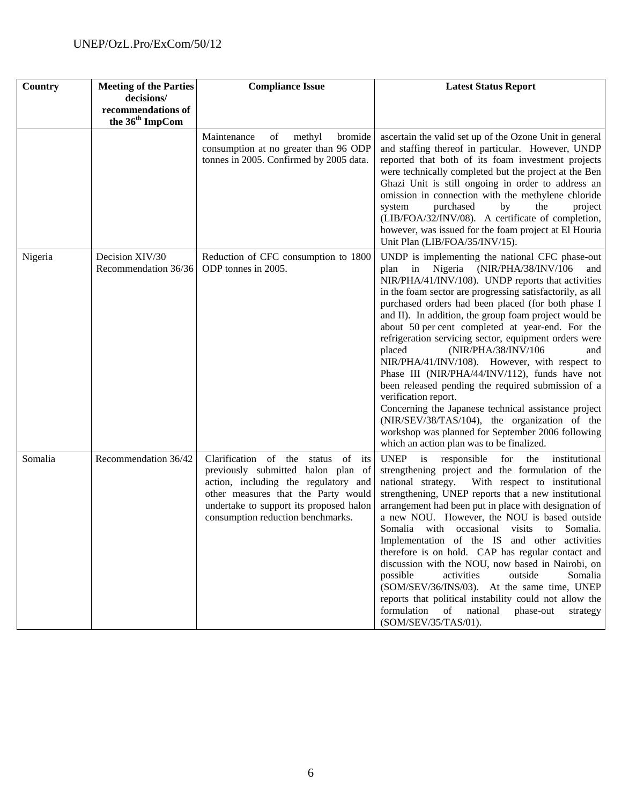| Country | <b>Meeting of the Parties</b><br>decisions/       | <b>Compliance Issue</b>                                                                                                                                                                                                                    | <b>Latest Status Report</b>                                                                                                                                                                                                                                                                                                                                                                                                                                                                                                                                                                                                                                                                                                                                                                                                                                                           |
|---------|---------------------------------------------------|--------------------------------------------------------------------------------------------------------------------------------------------------------------------------------------------------------------------------------------------|---------------------------------------------------------------------------------------------------------------------------------------------------------------------------------------------------------------------------------------------------------------------------------------------------------------------------------------------------------------------------------------------------------------------------------------------------------------------------------------------------------------------------------------------------------------------------------------------------------------------------------------------------------------------------------------------------------------------------------------------------------------------------------------------------------------------------------------------------------------------------------------|
|         | recommendations of<br>the 36 <sup>th</sup> ImpCom |                                                                                                                                                                                                                                            |                                                                                                                                                                                                                                                                                                                                                                                                                                                                                                                                                                                                                                                                                                                                                                                                                                                                                       |
|         |                                                   | of<br>methyl<br>Maintenance<br>bromide<br>consumption at no greater than 96 ODP<br>tonnes in 2005. Confirmed by 2005 data.                                                                                                                 | ascertain the valid set up of the Ozone Unit in general<br>and staffing thereof in particular. However, UNDP<br>reported that both of its foam investment projects<br>were technically completed but the project at the Ben<br>Ghazi Unit is still ongoing in order to address an<br>omission in connection with the methylene chloride<br>purchased<br>system<br>by<br>the<br>project<br>(LIB/FOA/32/INV/08). A certificate of completion,<br>however, was issued for the foam project at El Houria<br>Unit Plan (LIB/FOA/35/INV/15).                                                                                                                                                                                                                                                                                                                                                |
| Nigeria | Decision XIV/30<br>Recommendation 36/36           | Reduction of CFC consumption to 1800<br>ODP tonnes in 2005.                                                                                                                                                                                | UNDP is implementing the national CFC phase-out<br>Nigeria (NIR/PHA/38/INV/106<br>in<br>plan<br>and<br>NIR/PHA/41/INV/108). UNDP reports that activities<br>in the foam sector are progressing satisfactorily, as all<br>purchased orders had been placed (for both phase I<br>and II). In addition, the group foam project would be<br>about 50 per cent completed at year-end. For the<br>refrigeration servicing sector, equipment orders were<br>placed<br>(NIR/PHA/38/INV/106<br>and<br>NIR/PHA/41/INV/108). However, with respect to<br>Phase III (NIR/PHA/44/INV/112), funds have not<br>been released pending the required submission of a<br>verification report.<br>Concerning the Japanese technical assistance project<br>(NIR/SEV/38/TAS/104), the organization of the<br>workshop was planned for September 2006 following<br>which an action plan was to be finalized. |
| Somalia | Recommendation 36/42                              | Clarification of the status<br>of its<br>previously submitted halon plan of<br>action, including the regulatory and<br>other measures that the Party would<br>undertake to support its proposed halon<br>consumption reduction benchmarks. | <b>UNEP</b><br>is<br>for<br>the<br>responsible<br>institutional<br>strengthening project and the formulation of the<br>national strategy.<br>With respect to institutional<br>strengthening, UNEP reports that a new institutional<br>arrangement had been put in place with designation of<br>a new NOU. However, the NOU is based outside<br>Somalia with<br>occasional visits to Somalia.<br>Implementation of the IS and other activities<br>therefore is on hold. CAP has regular contact and<br>discussion with the NOU, now based in Nairobi, on<br>possible<br>activities<br>outside<br>Somalia<br>(SOM/SEV/36/INS/03). At the same time, UNEP<br>reports that political instability could not allow the<br>formulation of national<br>phase-out<br>strategy<br>(SOM/SEV/35/TAS/01).                                                                                          |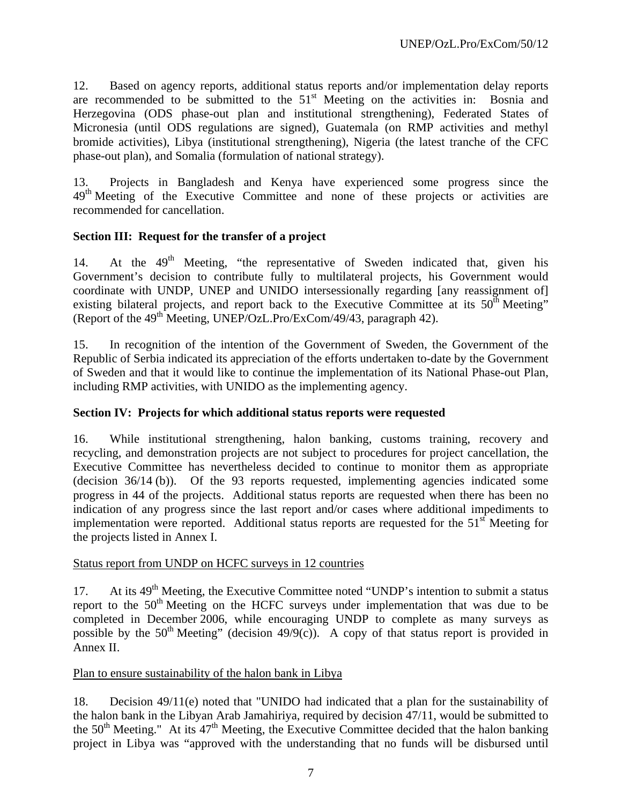12. Based on agency reports, additional status reports and/or implementation delay reports are recommended to be submitted to the  $51<sup>st</sup>$  Meeting on the activities in: Bosnia and Herzegovina (ODS phase-out plan and institutional strengthening), Federated States of Micronesia (until ODS regulations are signed), Guatemala (on RMP activities and methyl bromide activities), Libya (institutional strengthening), Nigeria (the latest tranche of the CFC phase-out plan), and Somalia (formulation of national strategy).

13. Projects in Bangladesh and Kenya have experienced some progress since the 49<sup>th</sup> Meeting of the Executive Committee and none of these projects or activities are recommended for cancellation.

# **Section III: Request for the transfer of a project**

14. At the 49<sup>th</sup> Meeting, "the representative of Sweden indicated that, given his Government's decision to contribute fully to multilateral projects, his Government would coordinate with UNDP, UNEP and UNIDO intersessionally regarding [any reassignment of] existing bilateral projects, and report back to the Executive Committee at its  $50<sup>th</sup>$  Meeting" (Report of the  $49<sup>th</sup>$  Meeting, UNEP/OzL.Pro/ExCom/49/43, paragraph 42).

15. In recognition of the intention of the Government of Sweden, the Government of the Republic of Serbia indicated its appreciation of the efforts undertaken to-date by the Government of Sweden and that it would like to continue the implementation of its National Phase-out Plan, including RMP activities, with UNIDO as the implementing agency.

#### **Section IV: Projects for which additional status reports were requested**

16. While institutional strengthening, halon banking, customs training, recovery and recycling, and demonstration projects are not subject to procedures for project cancellation, the Executive Committee has nevertheless decided to continue to monitor them as appropriate (decision 36/14 (b)). Of the 93 reports requested, implementing agencies indicated some progress in 44 of the projects. Additional status reports are requested when there has been no indication of any progress since the last report and/or cases where additional impediments to implementation were reported. Additional status reports are requested for the  $51<sup>st</sup>$  Meeting for the projects listed in Annex I.

#### Status report from UNDP on HCFC surveys in 12 countries

17. At its 49<sup>th</sup> Meeting, the Executive Committee noted "UNDP's intention to submit a status report to the  $50<sup>th</sup>$  Meeting on the HCFC surveys under implementation that was due to be completed in December 2006, while encouraging UNDP to complete as many surveys as possible by the 50<sup>th</sup> Meeting" (decision 49/9(c)). A copy of that status report is provided in Annex II.

#### Plan to ensure sustainability of the halon bank in Libya

18. Decision 49/11(e) noted that "UNIDO had indicated that a plan for the sustainability of the halon bank in the Libyan Arab Jamahiriya, required by decision 47/11, would be submitted to the  $50<sup>th</sup>$  Meeting." At its  $47<sup>th</sup>$  Meeting, the Executive Committee decided that the halon banking project in Libya was "approved with the understanding that no funds will be disbursed until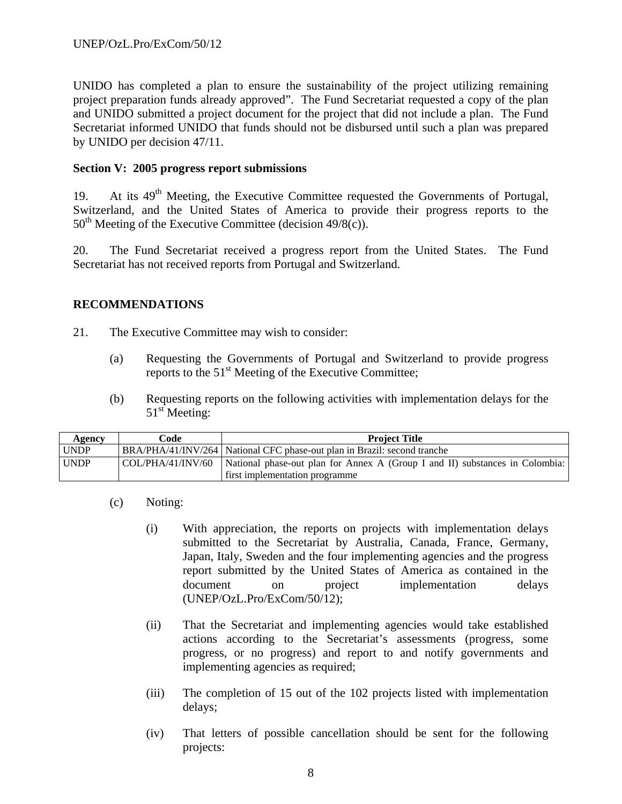UNIDO has completed a plan to ensure the sustainability of the project utilizing remaining project preparation funds already approved". The Fund Secretariat requested a copy of the plan and UNIDO submitted a project document for the project that did not include a plan. The Fund Secretariat informed UNIDO that funds should not be disbursed until such a plan was prepared by UNIDO per decision 47/11.

## **Section V: 2005 progress report submissions**

19. At its  $49<sup>th</sup>$  Meeting, the Executive Committee requested the Governments of Portugal, Switzerland, and the United States of America to provide their progress reports to the  $50<sup>th</sup>$  Meeting of the Executive Committee (decision 49/8(c)).

20. The Fund Secretariat received a progress report from the United States. The Fund Secretariat has not received reports from Portugal and Switzerland.

### **RECOMMENDATIONS**

- 21. The Executive Committee may wish to consider:
	- (a) Requesting the Governments of Portugal and Switzerland to provide progress reports to the 51<sup>st</sup> Meeting of the Executive Committee;
	- (b) Requesting reports on the following activities with implementation delays for the  $51<sup>st</sup>$  Meeting:

| Agency      | Code | <b>Project Title</b>                                                                                           |
|-------------|------|----------------------------------------------------------------------------------------------------------------|
| UNDP        |      | BRA/PHA/41/INV/264 National CFC phase-out plan in Brazil: second tranche                                       |
| <b>UNDP</b> |      | $\vert$ COL/PHA/41/INV/60 $\vert$ National phase-out plan for Annex A (Group I and II) substances in Colombia: |
|             |      | first implementation programme                                                                                 |

- (c) Noting:
	- (i) With appreciation, the reports on projects with implementation delays submitted to the Secretariat by Australia, Canada, France, Germany, Japan, Italy, Sweden and the four implementing agencies and the progress report submitted by the United States of America as contained in the document on project implementation delays (UNEP/OzL.Pro/ExCom/50/12);
	- (ii) That the Secretariat and implementing agencies would take established actions according to the Secretariat's assessments (progress, some progress, or no progress) and report to and notify governments and implementing agencies as required;
	- (iii) The completion of 15 out of the 102 projects listed with implementation delays;
	- (iv) That letters of possible cancellation should be sent for the following projects: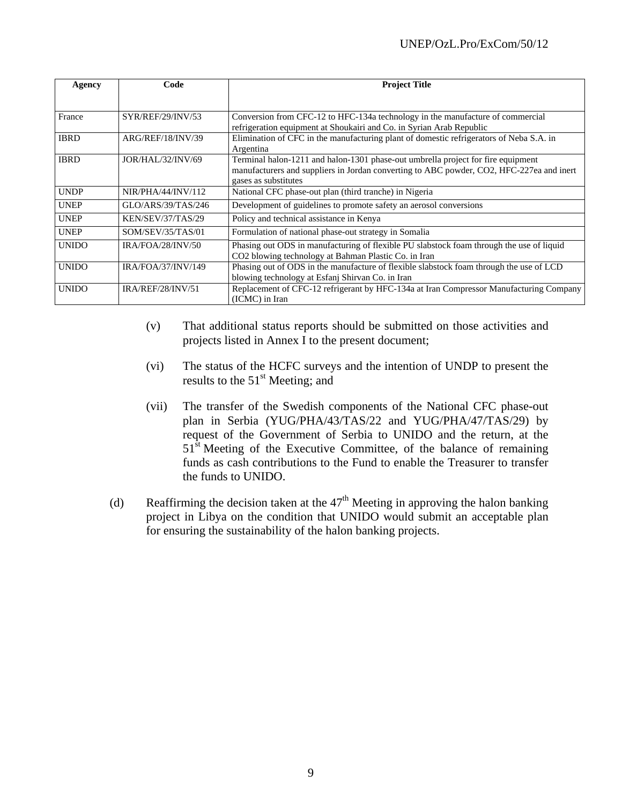| Agency       | Code               | <b>Project Title</b>                                                                                                                                                                                 |
|--------------|--------------------|------------------------------------------------------------------------------------------------------------------------------------------------------------------------------------------------------|
|              |                    |                                                                                                                                                                                                      |
| France       | SYR/REF/29/INV/53  | Conversion from CFC-12 to HFC-134a technology in the manufacture of commercial<br>refrigeration equipment at Shoukairi and Co. in Syrian Arab Republic                                               |
| <b>IBRD</b>  | ARG/REF/18/INV/39  | Elimination of CFC in the manufacturing plant of domestic refrigerators of Neba S.A. in<br>Argentina                                                                                                 |
| <b>IBRD</b>  | JOR/HAL/32/INV/69  | Terminal halon-1211 and halon-1301 phase-out umbrella project for fire equipment<br>manufacturers and suppliers in Jordan converting to ABC powder, CO2, HFC-227ea and inert<br>gases as substitutes |
| <b>UNDP</b>  | NIR/PHA/44/INV/112 | National CFC phase-out plan (third tranche) in Nigeria                                                                                                                                               |
| <b>UNEP</b>  | GLO/ARS/39/TAS/246 | Development of guidelines to promote safety an aerosol conversions                                                                                                                                   |
| <b>UNEP</b>  | KEN/SEV/37/TAS/29  | Policy and technical assistance in Kenya                                                                                                                                                             |
| <b>UNEP</b>  | SOM/SEV/35/TAS/01  | Formulation of national phase-out strategy in Somalia                                                                                                                                                |
| <b>UNIDO</b> | IRA/FOA/28/INV/50  | Phasing out ODS in manufacturing of flexible PU slabstock foam through the use of liquid<br>CO2 blowing technology at Bahman Plastic Co. in Iran                                                     |
| <b>UNIDO</b> | IRA/FOA/37/INV/149 | Phasing out of ODS in the manufacture of flexible slabstock foam through the use of LCD<br>blowing technology at Esfanj Shirvan Co. in Iran                                                          |
| <b>UNIDO</b> | IRA/REF/28/INV/51  | Replacement of CFC-12 refrigerant by HFC-134a at Iran Compressor Manufacturing Company<br>(ICMC) in Iran                                                                                             |

- (v) That additional status reports should be submitted on those activities and projects listed in Annex I to the present document;
- (vi) The status of the HCFC surveys and the intention of UNDP to present the results to the  $51<sup>st</sup>$  Meeting; and
- (vii) The transfer of the Swedish components of the National CFC phase-out plan in Serbia (YUG/PHA/43/TAS/22 and YUG/PHA/47/TAS/29) by request of the Government of Serbia to UNIDO and the return, at the 51<sup>st</sup> Meeting of the Executive Committee, of the balance of remaining funds as cash contributions to the Fund to enable the Treasurer to transfer the funds to UNIDO.
- (d) Reaffirming the decision taken at the  $47<sup>th</sup>$  Meeting in approving the halon banking project in Libya on the condition that UNIDO would submit an acceptable plan for ensuring the sustainability of the halon banking projects.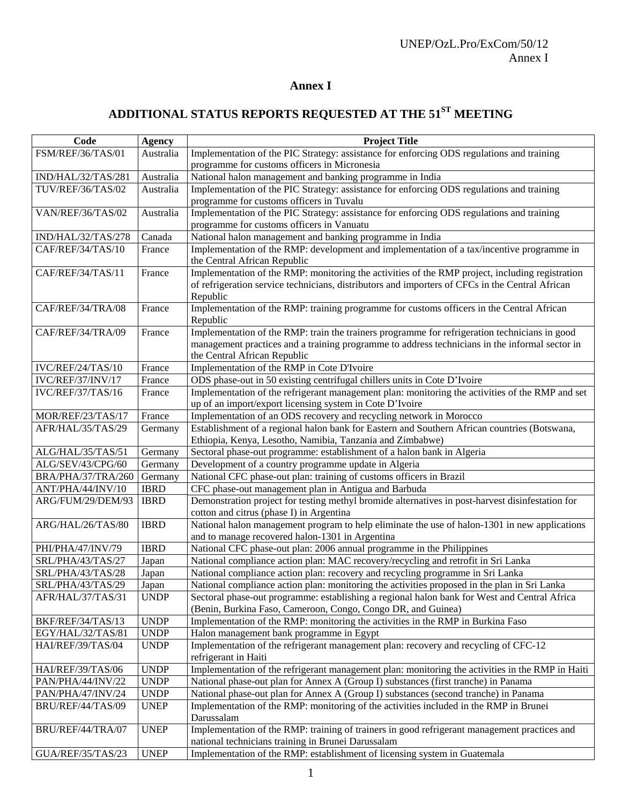# **Annex I**

# ADDITIONAL STATUS REPORTS REQUESTED AT THE 51<sup>ST</sup> MEETING

| Code               | <b>Agency</b> | <b>Project Title</b>                                                                             |  |
|--------------------|---------------|--------------------------------------------------------------------------------------------------|--|
| FSM/REF/36/TAS/01  | Australia     | Implementation of the PIC Strategy: assistance for enforcing ODS regulations and training        |  |
|                    |               | programme for customs officers in Micronesia                                                     |  |
| IND/HAL/32/TAS/281 | Australia     | National halon management and banking programme in India                                         |  |
| TUV/REF/36/TAS/02  | Australia     | Implementation of the PIC Strategy: assistance for enforcing ODS regulations and training        |  |
|                    |               | programme for customs officers in Tuvalu                                                         |  |
| VAN/REF/36/TAS/02  | Australia     | Implementation of the PIC Strategy: assistance for enforcing ODS regulations and training        |  |
|                    |               | programme for customs officers in Vanuatu                                                        |  |
| IND/HAL/32/TAS/278 | Canada        | National halon management and banking programme in India                                         |  |
| CAF/REF/34/TAS/10  | France        | Implementation of the RMP: development and implementation of a tax/incentive programme in        |  |
|                    |               | the Central African Republic                                                                     |  |
| CAF/REF/34/TAS/11  | France        | Implementation of the RMP: monitoring the activities of the RMP project, including registration  |  |
|                    |               | of refrigeration service technicians, distributors and importers of CFCs in the Central African  |  |
|                    |               | Republic                                                                                         |  |
| CAF/REF/34/TRA/08  | France        | Implementation of the RMP: training programme for customs officers in the Central African        |  |
|                    |               | Republic                                                                                         |  |
| CAF/REF/34/TRA/09  | France        | Implementation of the RMP: train the trainers programme for refrigeration technicians in good    |  |
|                    |               | management practices and a training programme to address technicians in the informal sector in   |  |
|                    |               | the Central African Republic                                                                     |  |
| IVC/REF/24/TAS/10  | France        | Implementation of the RMP in Cote D'Ivoire                                                       |  |
| IVC/REF/37/INV/17  | France        | ODS phase-out in 50 existing centrifugal chillers units in Cote D'Ivoire                         |  |
| IVC/REF/37/TAS/16  | France        | Implementation of the refrigerant management plan: monitoring the activities of the RMP and set  |  |
|                    |               | up of an import/export licensing system in Cote D'Ivoire                                         |  |
| MOR/REF/23/TAS/17  | France        | Implementation of an ODS recovery and recycling network in Morocco                               |  |
| AFR/HAL/35/TAS/29  | Germany       | Establishment of a regional halon bank for Eastern and Southern African countries (Botswana,     |  |
|                    |               | Ethiopia, Kenya, Lesotho, Namibia, Tanzania and Zimbabwe)                                        |  |
| ALG/HAL/35/TAS/51  | Germany       | Sectoral phase-out programme: establishment of a halon bank in Algeria                           |  |
| ALG/SEV/43/CPG/60  | Germany       | Development of a country programme update in Algeria                                             |  |
| BRA/PHA/37/TRA/260 | Germany       | National CFC phase-out plan: training of customs officers in Brazil                              |  |
| ANT/PHA/44/INV/10  | <b>IBRD</b>   | CFC phase-out management plan in Antigua and Barbuda                                             |  |
| ARG/FUM/29/DEM/93  | <b>IBRD</b>   | Demonstration project for testing methyl bromide alternatives in post-harvest disinfestation for |  |
|                    |               | cotton and citrus (phase I) in Argentina                                                         |  |
| ARG/HAL/26/TAS/80  | <b>IBRD</b>   | National halon management program to help eliminate the use of halon-1301 in new applications    |  |
|                    |               | and to manage recovered halon-1301 in Argentina                                                  |  |
| PHI/PHA/47/INV/79  | <b>IBRD</b>   | National CFC phase-out plan: 2006 annual programme in the Philippines                            |  |
| SRL/PHA/43/TAS/27  | Japan         | National compliance action plan: MAC recovery/recycling and retrofit in Sri Lanka                |  |
| SRL/PHA/43/TAS/28  | Japan         | National compliance action plan: recovery and recycling programme in Sri Lanka                   |  |
| SRL/PHA/43/TAS/29  | Japan         | National compliance action plan: monitoring the activities proposed in the plan in Sri Lanka     |  |
| AFR/HAL/37/TAS/31  | <b>UNDP</b>   | Sectoral phase-out programme: establishing a regional halon bank for West and Central Africa     |  |
|                    |               | (Benin, Burkina Faso, Cameroon, Congo, Congo DR, and Guinea)                                     |  |
| BKF/REF/34/TAS/13  | <b>UNDP</b>   | Implementation of the RMP: monitoring the activities in the RMP in Burkina Faso                  |  |
| EGY/HAL/32/TAS/81  | <b>UNDP</b>   | Halon management bank programme in Egypt                                                         |  |
| HAI/REF/39/TAS/04  | <b>UNDP</b>   | Implementation of the refrigerant management plan: recovery and recycling of CFC-12              |  |
|                    |               | refrigerant in Haiti                                                                             |  |
| HAI/REF/39/TAS/06  | <b>UNDP</b>   | Implementation of the refrigerant management plan: monitoring the activities in the RMP in Haiti |  |
| PAN/PHA/44/INV/22  | <b>UNDP</b>   | National phase-out plan for Annex A (Group I) substances (first tranche) in Panama               |  |
| PAN/PHA/47/INV/24  | <b>UNDP</b>   | National phase-out plan for Annex A (Group I) substances (second tranche) in Panama              |  |
| BRU/REF/44/TAS/09  | <b>UNEP</b>   | Implementation of the RMP: monitoring of the activities included in the RMP in Brunei            |  |
|                    |               | Darussalam                                                                                       |  |
| BRU/REF/44/TRA/07  | <b>UNEP</b>   | Implementation of the RMP: training of trainers in good refrigerant management practices and     |  |
|                    |               | national technicians training in Brunei Darussalam                                               |  |
| GUA/REF/35/TAS/23  | <b>UNEP</b>   | Implementation of the RMP: establishment of licensing system in Guatemala                        |  |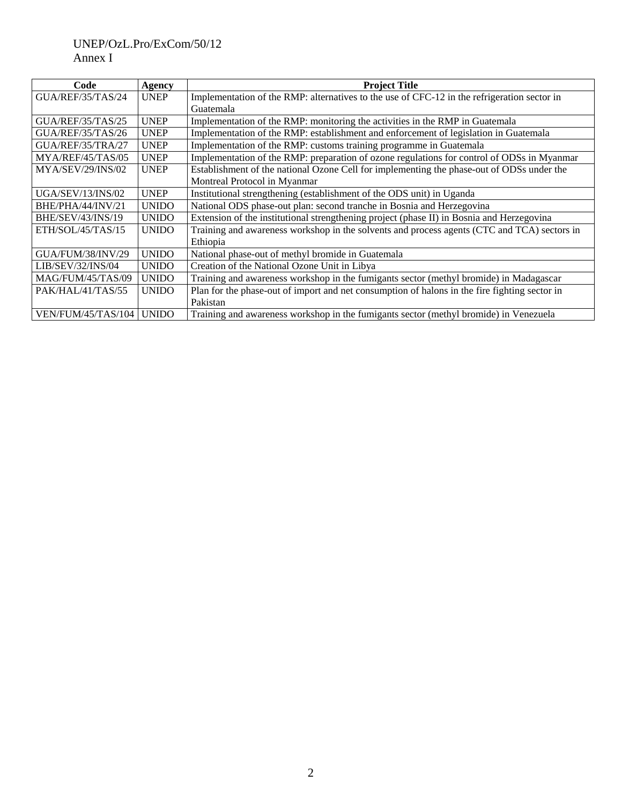# UNEP/OzL.Pro/ExCom/50/12 Annex I

| Code                      | <b>Agency</b> | <b>Project Title</b>                                                                                    |  |
|---------------------------|---------------|---------------------------------------------------------------------------------------------------------|--|
| GUA/REF/35/TAS/24         | <b>UNEP</b>   | Implementation of the RMP: alternatives to the use of CFC-12 in the refrigeration sector in             |  |
|                           |               | Guatemala                                                                                               |  |
| GUA/REF/35/TAS/25         | <b>UNEP</b>   | Implementation of the RMP: monitoring the activities in the RMP in Guatemala                            |  |
| GUA/REF/35/TAS/26         | <b>UNEP</b>   | Implementation of the RMP: establishment and enforcement of legislation in Guatemala                    |  |
| GUA/REF/35/TRA/27         | <b>UNEP</b>   | Implementation of the RMP: customs training programme in Guatemala                                      |  |
| MYA/REF/45/TAS/05         | <b>UNEP</b>   | Implementation of the RMP: preparation of ozone regulations for control of ODSs in Myanmar              |  |
| MYA/SEV/29/INS/02         | <b>UNEP</b>   | Establishment of the national Ozone Cell for implementing the phase-out of ODSs under the               |  |
|                           |               | Montreal Protocol in Myanmar                                                                            |  |
| UGA/SEV/13/INS/02         | <b>UNEP</b>   | Institutional strengthening (establishment of the ODS unit) in Uganda                                   |  |
| BHE/PHA/44/INV/21         | <b>UNIDO</b>  | National ODS phase-out plan: second tranche in Bosnia and Herzegovina                                   |  |
| BHE/SEV/43/INS/19         | <b>UNIDO</b>  | Extension of the institutional strengthening project (phase II) in Bosnia and Herzegovina               |  |
| ETH/SOL/45/TAS/15         | <b>UNIDO</b>  | Training and awareness workshop in the solvents and process agents (CTC and TCA) sectors in<br>Ethiopia |  |
| GUA/FUM/38/INV/29         | <b>UNIDO</b>  | National phase-out of methyl bromide in Guatemala                                                       |  |
| LIB/SEV/32/INS/04         | <b>UNIDO</b>  | Creation of the National Ozone Unit in Libya                                                            |  |
| MAG/FUM/45/TAS/09         | <b>UNIDO</b>  | Training and awareness workshop in the fumigants sector (methyl bromide) in Madagascar                  |  |
| PAK/HAL/41/TAS/55         | <b>UNIDO</b>  | Plan for the phase-out of import and net consumption of halons in the fire fighting sector in           |  |
|                           |               | Pakistan                                                                                                |  |
| <b>VEN/FUM/45/TAS/104</b> | <b>UNIDO</b>  | Training and awareness workshop in the fumigants sector (methyl bromide) in Venezuela                   |  |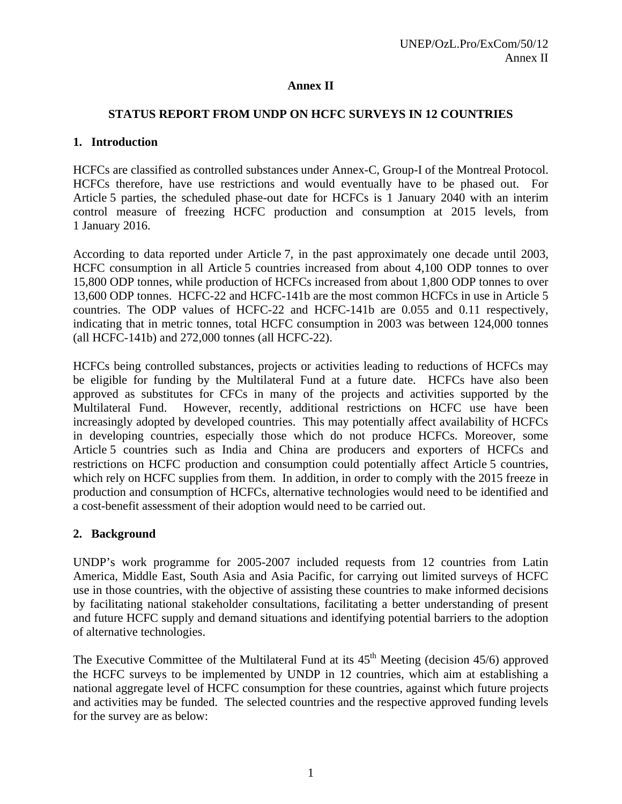# **Annex II**

# **STATUS REPORT FROM UNDP ON HCFC SURVEYS IN 12 COUNTRIES**

## **1. Introduction**

HCFCs are classified as controlled substances under Annex-C, Group-I of the Montreal Protocol. HCFCs therefore, have use restrictions and would eventually have to be phased out. For Article 5 parties, the scheduled phase-out date for HCFCs is 1 January 2040 with an interim control measure of freezing HCFC production and consumption at 2015 levels, from 1 January 2016.

According to data reported under Article 7, in the past approximately one decade until 2003, HCFC consumption in all Article 5 countries increased from about 4,100 ODP tonnes to over 15,800 ODP tonnes, while production of HCFCs increased from about 1,800 ODP tonnes to over 13,600 ODP tonnes. HCFC-22 and HCFC-141b are the most common HCFCs in use in Article 5 countries. The ODP values of HCFC-22 and HCFC-141b are 0.055 and 0.11 respectively, indicating that in metric tonnes, total HCFC consumption in 2003 was between 124,000 tonnes (all HCFC-141b) and 272,000 tonnes (all HCFC-22).

HCFCs being controlled substances, projects or activities leading to reductions of HCFCs may be eligible for funding by the Multilateral Fund at a future date. HCFCs have also been approved as substitutes for CFCs in many of the projects and activities supported by the Multilateral Fund. However, recently, additional restrictions on HCFC use have been increasingly adopted by developed countries. This may potentially affect availability of HCFCs in developing countries, especially those which do not produce HCFCs. Moreover, some Article 5 countries such as India and China are producers and exporters of HCFCs and restrictions on HCFC production and consumption could potentially affect Article 5 countries, which rely on HCFC supplies from them. In addition, in order to comply with the 2015 freeze in production and consumption of HCFCs, alternative technologies would need to be identified and a cost-benefit assessment of their adoption would need to be carried out.

# **2. Background**

UNDP's work programme for 2005-2007 included requests from 12 countries from Latin America, Middle East, South Asia and Asia Pacific, for carrying out limited surveys of HCFC use in those countries, with the objective of assisting these countries to make informed decisions by facilitating national stakeholder consultations, facilitating a better understanding of present and future HCFC supply and demand situations and identifying potential barriers to the adoption of alternative technologies.

The Executive Committee of the Multilateral Fund at its  $45<sup>th</sup>$  Meeting (decision  $45/6$ ) approved the HCFC surveys to be implemented by UNDP in 12 countries, which aim at establishing a national aggregate level of HCFC consumption for these countries, against which future projects and activities may be funded. The selected countries and the respective approved funding levels for the survey are as below: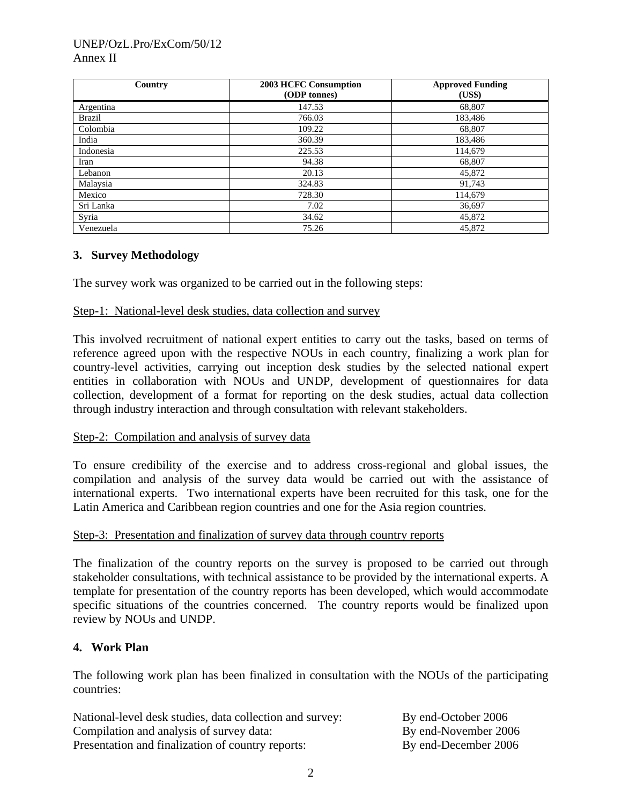## UNEP/OzL.Pro/ExCom/50/12 Annex II

| Country       | 2003 HCFC Consumption<br>(ODP tonnes) | <b>Approved Funding</b><br>(US\$) |
|---------------|---------------------------------------|-----------------------------------|
| Argentina     | 147.53                                | 68,807                            |
| <b>Brazil</b> | 766.03                                | 183,486                           |
| Colombia      | 109.22                                | 68,807                            |
| India         | 360.39                                | 183,486                           |
| Indonesia     | 225.53                                | 114,679                           |
| Iran          | 94.38                                 | 68,807                            |
| Lebanon       | 20.13                                 | 45,872                            |
| Malaysia      | 324.83                                | 91,743                            |
| Mexico        | 728.30                                | 114,679                           |
| Sri Lanka     | 7.02                                  | 36,697                            |
| Syria         | 34.62                                 | 45,872                            |
| Venezuela     | 75.26                                 | 45,872                            |

# **3. Survey Methodology**

The survey work was organized to be carried out in the following steps:

#### Step-1: National-level desk studies, data collection and survey

This involved recruitment of national expert entities to carry out the tasks, based on terms of reference agreed upon with the respective NOUs in each country, finalizing a work plan for country-level activities, carrying out inception desk studies by the selected national expert entities in collaboration with NOUs and UNDP, development of questionnaires for data collection, development of a format for reporting on the desk studies, actual data collection through industry interaction and through consultation with relevant stakeholders.

#### Step-2: Compilation and analysis of survey data

To ensure credibility of the exercise and to address cross-regional and global issues, the compilation and analysis of the survey data would be carried out with the assistance of international experts. Two international experts have been recruited for this task, one for the Latin America and Caribbean region countries and one for the Asia region countries.

#### Step-3: Presentation and finalization of survey data through country reports

The finalization of the country reports on the survey is proposed to be carried out through stakeholder consultations, with technical assistance to be provided by the international experts. A template for presentation of the country reports has been developed, which would accommodate specific situations of the countries concerned. The country reports would be finalized upon review by NOUs and UNDP.

#### **4. Work Plan**

The following work plan has been finalized in consultation with the NOUs of the participating countries:

| National-level desk studies, data collection and survey: | By end-October 2006  |
|----------------------------------------------------------|----------------------|
| Compilation and analysis of survey data:                 | By end-November 2006 |
| Presentation and finalization of country reports:        | By end-December 2006 |